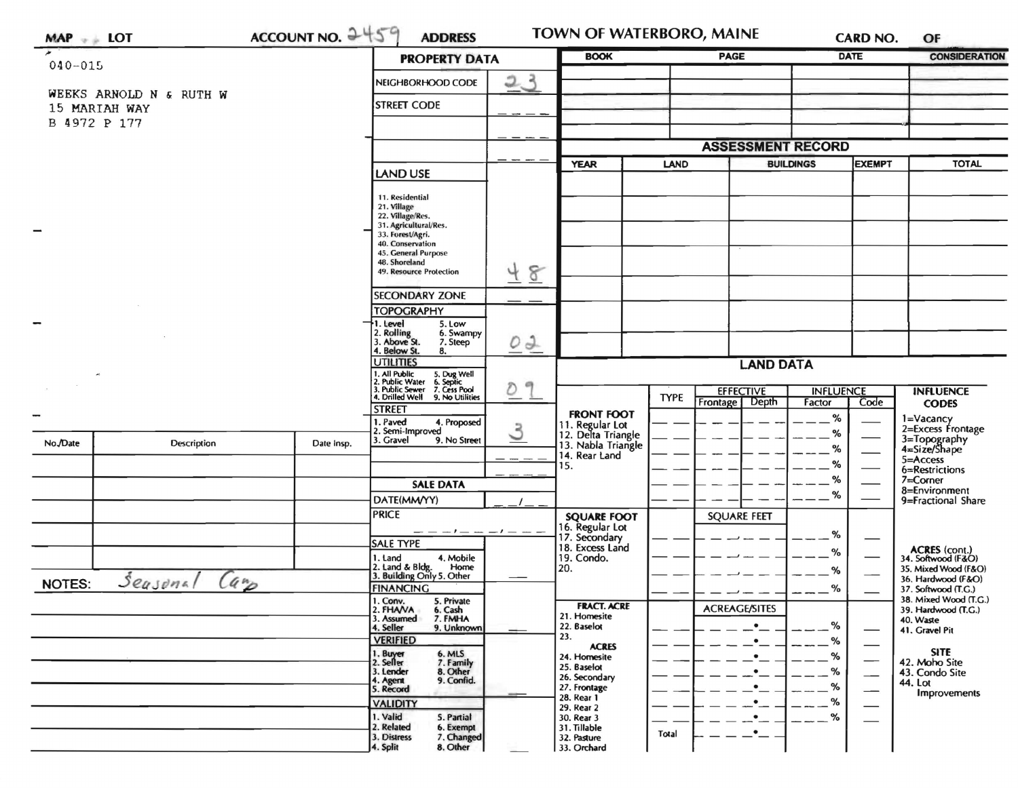| $MAP \rightarrow LOT$                |                         | ACCOUNT NO. 2459                                                                  | <b>ADDRESS</b>                                                               |    | <b>BOOK</b>                                                 | <b>PAGE</b>      |                                    | CARD NO.<br><b>DATE</b>    |                                                    | OF<br><b>CONSIDERATION</b>                        |
|--------------------------------------|-------------------------|-----------------------------------------------------------------------------------|------------------------------------------------------------------------------|----|-------------------------------------------------------------|------------------|------------------------------------|----------------------------|----------------------------------------------------|---------------------------------------------------|
| $040 - 015$                          |                         |                                                                                   | <b>PROPERTY DATA</b>                                                         |    |                                                             |                  |                                    |                            |                                                    |                                                   |
|                                      | WEEKS ARNOLD N & RUTH W |                                                                                   | NEIGHBORHOOD CODE                                                            | 23 |                                                             |                  |                                    |                            |                                                    |                                                   |
| 15 MARIAH WAY                        |                         |                                                                                   | <b>STREET CODE</b>                                                           |    |                                                             |                  |                                    |                            |                                                    |                                                   |
| B 4972 P 177                         |                         |                                                                                   |                                                                              |    |                                                             |                  |                                    |                            |                                                    |                                                   |
|                                      |                         |                                                                                   |                                                                              |    |                                                             |                  | <b>ASSESSMENT RECORD</b>           |                            |                                                    |                                                   |
|                                      |                         |                                                                                   | <b>LAND USE</b>                                                              |    | <b>YEAR</b>                                                 | LAND             |                                    | <b>BUILDINGS</b>           | <b>EXEMPT</b>                                      | <b>TOTAL</b>                                      |
|                                      |                         |                                                                                   |                                                                              |    |                                                             |                  |                                    |                            |                                                    |                                                   |
|                                      |                         | 11. Residential<br>21. Village                                                    |                                                                              |    |                                                             |                  |                                    |                            |                                                    |                                                   |
|                                      |                         |                                                                                   | 22. Village/Res.<br>31. Agricultural/Res.                                    |    |                                                             |                  |                                    |                            |                                                    |                                                   |
|                                      |                         |                                                                                   | 33. Forest/Agri.<br>40. Conservation<br>45. General Purpose<br>48. Shoreland |    |                                                             |                  |                                    |                            |                                                    |                                                   |
|                                      |                         |                                                                                   |                                                                              |    |                                                             |                  |                                    |                            |                                                    |                                                   |
|                                      |                         |                                                                                   | 49. Resource Protection                                                      | 48 |                                                             |                  |                                    |                            |                                                    |                                                   |
|                                      |                         |                                                                                   | <b>SECONDARY ZONE</b>                                                        |    |                                                             |                  |                                    |                            |                                                    |                                                   |
|                                      |                         |                                                                                   | <b>TOPOGRAPHY</b><br>1. Level<br>5. Low                                      |    |                                                             |                  |                                    |                            |                                                    |                                                   |
|                                      |                         |                                                                                   | 2. Rolling<br>3. Above St.<br>6. Swampy<br>7. Steep                          | 0J |                                                             |                  |                                    |                            |                                                    |                                                   |
|                                      |                         |                                                                                   | 4. Below St.<br>8.<br><b>UTILITIES</b>                                       |    |                                                             | <b>LAND DATA</b> |                                    |                            |                                                    |                                                   |
|                                      |                         | 1. All Public<br>2. Public Water<br>5. Dug Well<br>6. Septic<br>7. Cess Pool<br>冊 |                                                                              |    |                                                             |                  |                                    |                            |                                                    |                                                   |
|                                      |                         |                                                                                   | 3. Public Sewer<br>4. Drilled Well<br>9. No Utilities                        | D  |                                                             | <b>TYPE</b>      | <b>EFFECTIVE</b><br>Frontage Depth | <b>INFLUENCE</b><br>Factor | Code                                               | <b>INFLUENCE</b><br><b>CODES</b>                  |
|                                      |                         |                                                                                   | <b>STREET</b><br>1. Paved<br>4. Proposed                                     |    | <b>FRONT FOOT</b>                                           |                  |                                    | $\%$                       |                                                    | 1=Vacancy                                         |
| No./Date                             | Description             | Date Insp.                                                                        | 2. Semi-Improved<br>9. No Street<br>3. Gravel                                | 3  | 11. Regular Lot<br>12. Delta Triangle<br>13. Nabla Triangle |                  |                                    | ℅                          |                                                    | 2=Excess Frontage<br>3=Topography<br>4=Size/Shape |
|                                      |                         |                                                                                   |                                                                              |    | 14. Rear Land                                               |                  | ℅<br>%                             |                            | 5=Access                                           |                                                   |
|                                      |                         |                                                                                   |                                                                              |    | 15.                                                         |                  |                                    | ℅                          |                                                    | 6=Restrictions<br>$7 =$ Corner                    |
|                                      |                         |                                                                                   | <b>SALE DATA</b><br>DATE(MM/YY)                                              |    |                                                             |                  |                                    | %                          |                                                    | 8=Environment<br>9=Fractional Share               |
|                                      |                         |                                                                                   | <b>PRICE</b>                                                                 |    | <b>SQUARE FOOT</b>                                          |                  | <b>SQUARE FEET</b>                 |                            |                                                    |                                                   |
|                                      |                         |                                                                                   | $- - -  -      -$                                                            |    | 16. Regular Lot<br>17. Secondary                            |                  |                                    | %                          |                                                    |                                                   |
|                                      |                         |                                                                                   | <b>SALE TYPE</b><br>4. Mobile<br>1. Land                                     |    | 18. Excess Land<br>19. Condo.                               |                  |                                    | %                          |                                                    | ACRES (cont.)<br>34. Softwood (F&O)               |
|                                      |                         |                                                                                   | 2. Land & Bldg. Home<br>3. Building Only 5. Other<br>Home                    |    | 20.                                                         |                  |                                    | %                          |                                                    | 35. Mixed Wood (F&O)<br>36. Hardwood (F&O)        |
| Seasonal<br>$(a_p)$<br><b>NOTES:</b> |                         |                                                                                   | <b>FINANCING</b>                                                             |    |                                                             |                  |                                    | %                          |                                                    | 37. Softwood (T.G.)                               |
|                                      |                         |                                                                                   | 1. Conv.<br>5. Private<br>2. FHANA<br>6. Cash                                |    | <b>FRACT. ACRE</b><br>21. Homesite                          |                  | <b>ACREAGE/SITES</b>               |                            |                                                    | 38. Mixed Wood (T.G.)<br>39. Hardwood (T.G.)      |
|                                      |                         |                                                                                   | 3. Assumed<br>7. FMHA<br>4. Seller<br>9. Unknown                             |    | 22. Baselot                                                 |                  | $\bullet$                          | %                          |                                                    | 40. Waste<br>41. Gravel Pit                       |
|                                      |                         |                                                                                   | <b>VERIFIED</b><br>6. MLS                                                    |    | 23.<br><b>ACRES</b>                                         |                  | $\bullet$                          | %                          | $\overbrace{\hspace{15em}}$                        | <b>SITE</b>                                       |
|                                      |                         |                                                                                   | 1. Buyer<br>2. Seller<br>7. Family<br>8. Other<br>9. Confid.<br>3. Lender    |    | 24. Homesite<br>25. Baselot                                 |                  | $\bullet$<br>$\bullet$             | %<br>%                     |                                                    | 42. Moho Site<br>43. Condo Site                   |
|                                      |                         |                                                                                   | 4. Agent<br>5. Record                                                        |    | 26. Secondary<br>27. Frontage                               |                  | $\bullet$                          | %                          | $\overbrace{\phantom{aaaaa}}$<br>$\hspace{0.05cm}$ | 44. Lot                                           |
|                                      |                         |                                                                                   | <b>VALIDITY</b>                                                              |    | 28. Rear 1<br>29. Rear 2                                    |                  | $\cdot$ –                          | %                          | —                                                  | <b>Improvements</b>                               |
|                                      |                         |                                                                                   | 1. Valid<br>5. Partial<br>2. Related<br>6. Exempt                            |    | 30. Rear 3<br>31. Tillable                                  |                  | $\cdot$ –                          | %                          |                                                    |                                                   |
|                                      |                         |                                                                                   | 7. Changed<br>3. Distress                                                    |    | 32. Pasture                                                 | Total            | $\cdot$ $-$                        |                            |                                                    |                                                   |